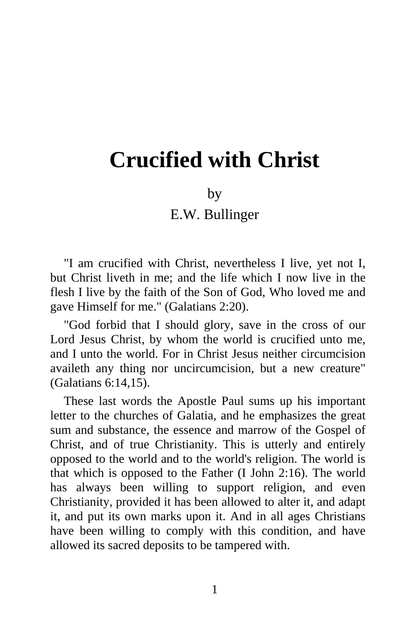## **Crucified with Christ**

## by

## E.W. Bullinger

"I am crucified with Christ, nevertheless I live, yet not I, but Christ liveth in me; and the life which I now live in the flesh I live by the faith of the Son of God, Who loved me and gave Himself for me." (Galatians 2:20).

"God forbid that I should glory, save in the cross of our Lord Jesus Christ, by whom the world is crucified unto me, and I unto the world. For in Christ Jesus neither circumcision availeth any thing nor uncircumcision, but a new creature" (Galatians 6:14,15).

These last words the Apostle Paul sums up his important letter to the churches of Galatia, and he emphasizes the great sum and substance, the essence and marrow of the Gospel of Christ, and of true Christianity. This is utterly and entirely opposed to the world and to the world's religion. The world is that which is opposed to the Father (I John 2:16). The world has always been willing to support religion, and even Christianity, provided it has been allowed to alter it, and adapt it, and put its own marks upon it. And in all ages Christians have been willing to comply with this condition, and have allowed its sacred deposits to be tampered with.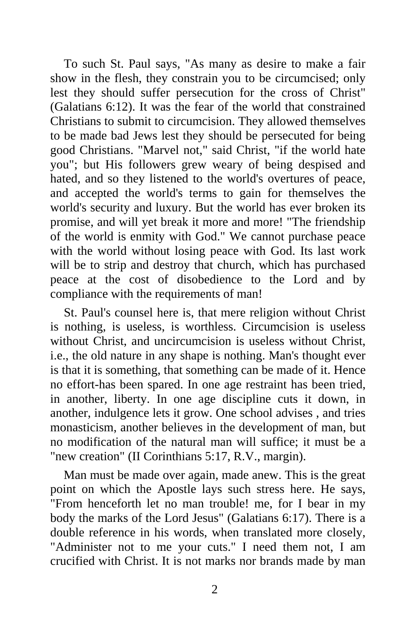To such St. Paul says, "As many as desire to make a fair show in the flesh, they constrain you to be circumcised; only lest they should suffer persecution for the cross of Christ" (Galatians 6:12). It was the fear of the world that constrained Christians to submit to circumcision. They allowed themselves to be made bad Jews lest they should be persecuted for being good Christians. "Marvel not," said Christ, "if the world hate you"; but His followers grew weary of being despised and hated, and so they listened to the world's overtures of peace, and accepted the world's terms to gain for themselves the world's security and luxury. But the world has ever broken its promise, and will yet break it more and more! "The friendship of the world is enmity with God." We cannot purchase peace with the world without losing peace with God. Its last work will be to strip and destroy that church, which has purchased peace at the cost of disobedience to the Lord and by compliance with the requirements of man!

St. Paul's counsel here is, that mere religion without Christ is nothing, is useless, is worthless. Circumcision is useless without Christ, and uncircumcision is useless without Christ, i.e., the old nature in any shape is nothing. Man's thought ever is that it is something, that something can be made of it. Hence no effort-has been spared. In one age restraint has been tried, in another, liberty. In one age discipline cuts it down, in another, indulgence lets it grow. One school advises , and tries monasticism, another believes in the development of man, but no modification of the natural man will suffice; it must be a "new creation" (II Corinthians 5:17, R.V., margin).

Man must be made over again, made anew. This is the great point on which the Apostle lays such stress here. He says, "From henceforth let no man trouble! me, for I bear in my body the marks of the Lord Jesus" (Galatians 6:17). There is a double reference in his words, when translated more closely, "Administer not to me your cuts." I need them not, I am crucified with Christ. It is not marks nor brands made by man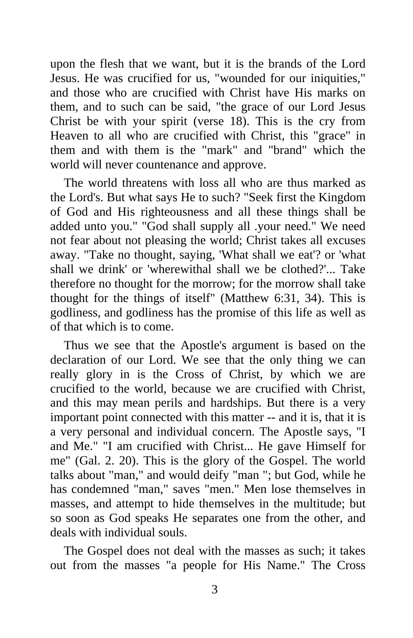upon the flesh that we want, but it is the brands of the Lord Jesus. He was crucified for us, "wounded for our iniquities," and those who are crucified with Christ have His marks on them, and to such can be said, "the grace of our Lord Jesus Christ be with your spirit (verse 18). This is the cry from Heaven to all who are crucified with Christ, this "grace" in them and with them is the "mark" and "brand" which the world will never countenance and approve.

The world threatens with loss all who are thus marked as the Lord's. But what says He to such? "Seek first the Kingdom of God and His righteousness and all these things shall be added unto you." "God shall supply all .your need." We need not fear about not pleasing the world; Christ takes all excuses away. "Take no thought, saying, 'What shall we eat'? or 'what shall we drink' or 'wherewithal shall we be clothed?'... Take therefore no thought for the morrow; for the morrow shall take thought for the things of itself" (Matthew 6:31, 34). This is godliness, and godliness has the promise of this life as well as of that which is to come.

Thus we see that the Apostle's argument is based on the declaration of our Lord. We see that the only thing we can really glory in is the Cross of Christ, by which we are crucified to the world, because we are crucified with Christ, and this may mean perils and hardships. But there is a very important point connected with this matter -- and it is, that it is a very personal and individual concern. The Apostle says, "I and Me." "I am crucified with Christ... He gave Himself for me" (Gal. 2. 20). This is the glory of the Gospel. The world talks about "man," and would deify "man "; but God, while he has condemned "man," saves "men." Men lose themselves in masses, and attempt to hide themselves in the multitude; but so soon as God speaks He separates one from the other, and deals with individual souls.

The Gospel does not deal with the masses as such; it takes out from the masses "a people for His Name." The Cross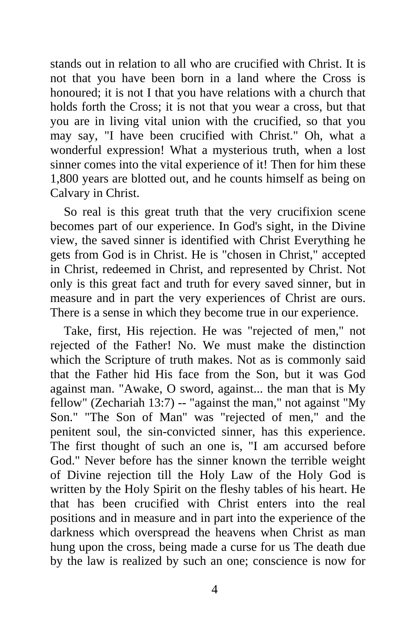stands out in relation to all who are crucified with Christ. It is not that you have been born in a land where the Cross is honoured; it is not I that you have relations with a church that holds forth the Cross; it is not that you wear a cross, but that you are in living vital union with the crucified, so that you may say, "I have been crucified with Christ." Oh, what a wonderful expression! What a mysterious truth, when a lost sinner comes into the vital experience of it! Then for him these 1,800 years are blotted out, and he counts himself as being on Calvary in Christ.

So real is this great truth that the very crucifixion scene becomes part of our experience. In God's sight, in the Divine view, the saved sinner is identified with Christ Everything he gets from God is in Christ. He is "chosen in Christ," accepted in Christ, redeemed in Christ, and represented by Christ. Not only is this great fact and truth for every saved sinner, but in measure and in part the very experiences of Christ are ours. There is a sense in which they become true in our experience.

Take, first, His rejection. He was "rejected of men," not rejected of the Father! No. We must make the distinction which the Scripture of truth makes. Not as is commonly said that the Father hid His face from the Son, but it was God against man. "Awake, O sword, against... the man that is My fellow" (Zechariah 13:7) -- "against the man," not against "My Son." "The Son of Man" was "rejected of men," and the penitent soul, the sin-convicted sinner, has this experience. The first thought of such an one is, "I am accursed before God." Never before has the sinner known the terrible weight of Divine rejection till the Holy Law of the Holy God is written by the Holy Spirit on the fleshy tables of his heart. He that has been crucified with Christ enters into the real positions and in measure and in part into the experience of the darkness which overspread the heavens when Christ as man hung upon the cross, being made a curse for us The death due by the law is realized by such an one; conscience is now for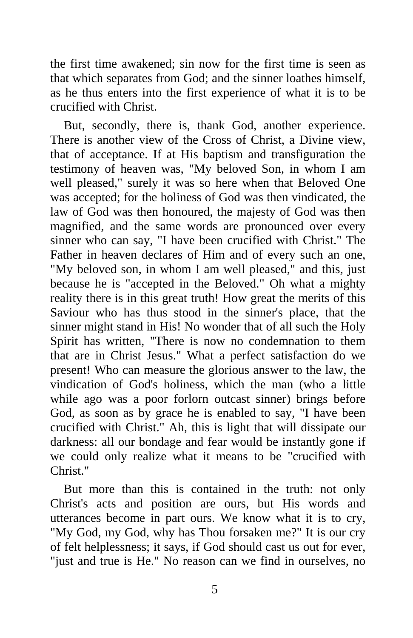the first time awakened; sin now for the first time is seen as that which separates from God; and the sinner loathes himself, as he thus enters into the first experience of what it is to be crucified with Christ.

But, secondly, there is, thank God, another experience. There is another view of the Cross of Christ, a Divine view, that of acceptance. If at His baptism and transfiguration the testimony of heaven was, "My beloved Son, in whom I am well pleased," surely it was so here when that Beloved One was accepted; for the holiness of God was then vindicated, the law of God was then honoured, the majesty of God was then magnified, and the same words are pronounced over every sinner who can say, "I have been crucified with Christ." The Father in heaven declares of Him and of every such an one, "My beloved son, in whom I am well pleased," and this, just because he is "accepted in the Beloved." Oh what a mighty reality there is in this great truth! How great the merits of this Saviour who has thus stood in the sinner's place, that the sinner might stand in His! No wonder that of all such the Holy Spirit has written, "There is now no condemnation to them that are in Christ Jesus." What a perfect satisfaction do we present! Who can measure the glorious answer to the law, the vindication of God's holiness, which the man (who a little while ago was a poor forlorn outcast sinner) brings before God, as soon as by grace he is enabled to say, "I have been crucified with Christ." Ah, this is light that will dissipate our darkness: all our bondage and fear would be instantly gone if we could only realize what it means to be "crucified with Christ<sup>"</sup>

But more than this is contained in the truth: not only Christ's acts and position are ours, but His words and utterances become in part ours. We know what it is to cry, "My God, my God, why has Thou forsaken me?" It is our cry of felt helplessness; it says, if God should cast us out for ever, "just and true is He." No reason can we find in ourselves, no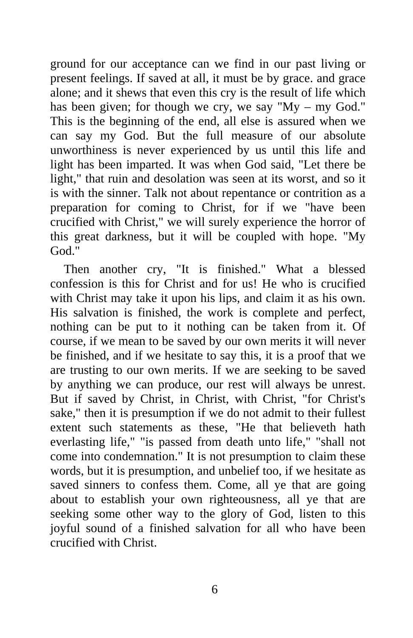ground for our acceptance can we find in our past living or present feelings. If saved at all, it must be by grace. and grace alone; and it shews that even this cry is the result of life which has been given; for though we cry, we say "My – my God." This is the beginning of the end, all else is assured when we can say my God. But the full measure of our absolute unworthiness is never experienced by us until this life and light has been imparted. It was when God said, "Let there be light," that ruin and desolation was seen at its worst, and so it is with the sinner. Talk not about repentance or contrition as a preparation for coming to Christ, for if we "have been crucified with Christ," we will surely experience the horror of this great darkness, but it will be coupled with hope. "My God."

Then another cry, "It is finished." What a blessed confession is this for Christ and for us! He who is crucified with Christ may take it upon his lips, and claim it as his own. His salvation is finished, the work is complete and perfect, nothing can be put to it nothing can be taken from it. Of course, if we mean to be saved by our own merits it will never be finished, and if we hesitate to say this, it is a proof that we are trusting to our own merits. If we are seeking to be saved by anything we can produce, our rest will always be unrest. But if saved by Christ, in Christ, with Christ, "for Christ's sake," then it is presumption if we do not admit to their fullest extent such statements as these, "He that believeth hath everlasting life," "is passed from death unto life," "shall not come into condemnation." It is not presumption to claim these words, but it is presumption, and unbelief too, if we hesitate as saved sinners to confess them. Come, all ye that are going about to establish your own righteousness, all ye that are seeking some other way to the glory of God, listen to this joyful sound of a finished salvation for all who have been crucified with Christ.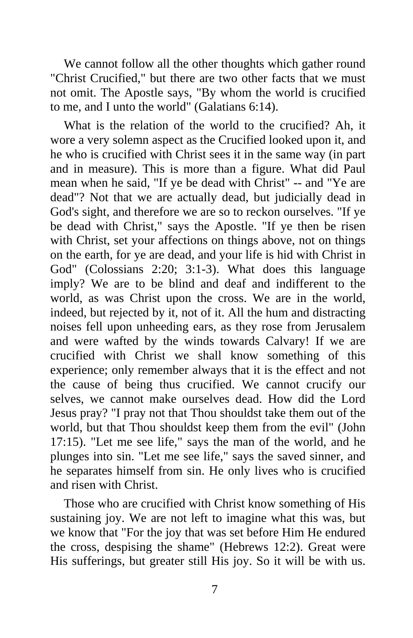We cannot follow all the other thoughts which gather round "Christ Crucified," but there are two other facts that we must not omit. The Apostle says, "By whom the world is crucified to me, and I unto the world" (Galatians 6:14).

What is the relation of the world to the crucified? Ah, it wore a very solemn aspect as the Crucified looked upon it, and he who is crucified with Christ sees it in the same way (in part and in measure). This is more than a figure. What did Paul mean when he said, "If ye be dead with Christ" -- and "Ye are dead"? Not that we are actually dead, but judicially dead in God's sight, and therefore we are so to reckon ourselves. "If ye be dead with Christ," says the Apostle. "If ye then be risen with Christ, set your affections on things above, not on things on the earth, for ye are dead, and your life is hid with Christ in God" (Colossians 2:20; 3:1-3). What does this language imply? We are to be blind and deaf and indifferent to the world, as was Christ upon the cross. We are in the world, indeed, but rejected by it, not of it. All the hum and distracting noises fell upon unheeding ears, as they rose from Jerusalem and were wafted by the winds towards Calvary! If we are crucified with Christ we shall know something of this experience; only remember always that it is the effect and not the cause of being thus crucified. We cannot crucify our selves, we cannot make ourselves dead. How did the Lord Jesus pray? "I pray not that Thou shouldst take them out of the world, but that Thou shouldst keep them from the evil" (John 17:15). "Let me see life," says the man of the world, and he plunges into sin. "Let me see life," says the saved sinner, and he separates himself from sin. He only lives who is crucified and risen with Christ.

Those who are crucified with Christ know something of His sustaining joy. We are not left to imagine what this was, but we know that "For the joy that was set before Him He endured the cross, despising the shame" (Hebrews 12:2). Great were His sufferings, but greater still His joy. So it will be with us.